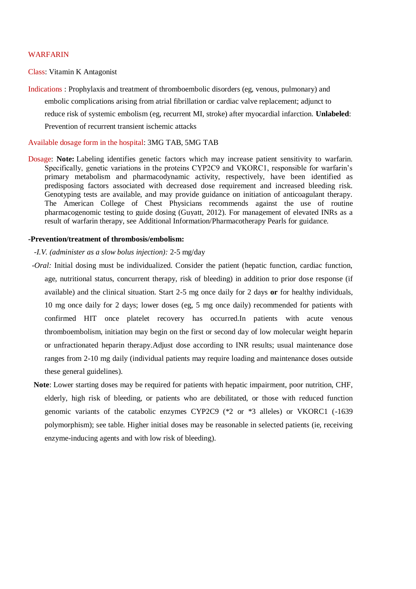## WARFARIN

Class: Vitamin K Antagonist

Indications : Prophylaxis and treatment of thromboembolic disorders (eg, venous, pulmonary) and embolic complications arising from atrial fibrillation or cardiac valve replacement; adjunct to reduce risk of systemic embolism (eg, recurrent MI, stroke) after myocardial infarction. **Unlabeled**: Prevention of recurrent transient ischemic attacks

Available dosage form in the hospital: 3MG TAB, 5MG TAB

Dosage: **Note:** Labeling identifies genetic factors which may increase patient sensitivity to warfarin. Specifically, genetic variations in the proteins CYP2C9 and VKORC1, responsible for warfarin's primary metabolism and pharmacodynamic activity, respectively, have been identified as predisposing factors associated with decreased dose requirement and increased bleeding risk. Genotyping tests are available, and may provide guidance on initiation of anticoagulant therapy. The American College of Chest Physicians recommends against the use of routine pharmacogenomic testing to guide dosing (Guyatt, 2012). For management of elevated INRs as a result of warfarin therapy, see Additional Information/Pharmacotherapy Pearls for guidance.

## **-Prevention/treatment of thrombosis/embolism:**

- *-I.V. (administer as a slow bolus injection):* 2-5 mg/day
- *-Oral:* Initial dosing must be individualized. Consider the patient (hepatic function, cardiac function, age, nutritional status, concurrent therapy, risk of bleeding) in addition to prior dose response (if available) and the clinical situation. Start 2-5 mg once daily for 2 days **or** for healthy individuals, 10 mg once daily for 2 days; lower doses (eg, 5 mg once daily) recommended for patients with confirmed HIT once platelet recovery has occurred.In patients with acute venous thromboembolism, initiation may begin on the first or second day of low molecular weight heparin or unfractionated heparin therapy.Adjust dose according to INR results; usual maintenance dose ranges from 2-10 mg daily (individual patients may require loading and maintenance doses outside these general guidelines).
- **Note**: Lower starting doses may be required for patients with hepatic impairment, poor nutrition, CHF, elderly, high risk of bleeding, or patients who are debilitated, or those with reduced function genomic variants of the catabolic enzymes CYP2C9 (\*2 or \*3 alleles) or VKORC1 (-1639 polymorphism); see table. Higher initial doses may be reasonable in selected patients (ie, receiving enzyme-inducing agents and with low risk of bleeding).